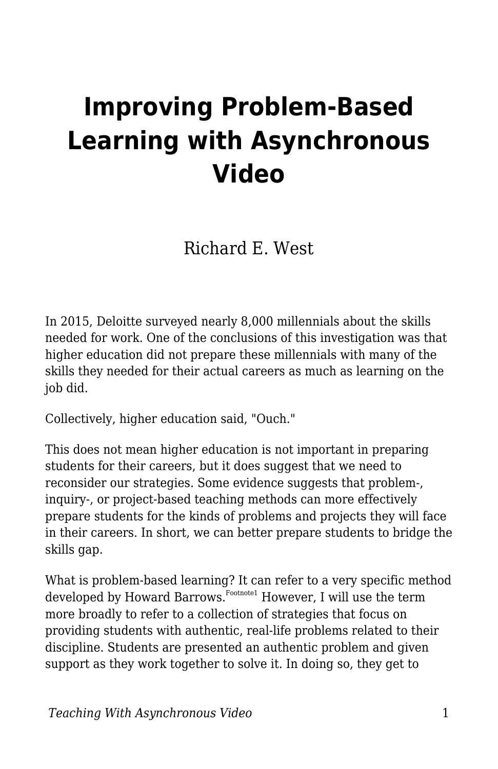# **Improving Problem-Based Learning with Asynchronous Video**

Richard E. West

In 2015, Deloitte surveyed nearly 8,000 millennials about the skills needed for work. One of the conclusions of this investigation was that higher education did not prepare these millennials with many of the skills they needed for their actual careers as much as learning on the job did.

Collectively, higher education said, "Ouch."

This does not mean higher education is not important in preparing students for their careers, but it does suggest that we need to reconsider our strategies. Some evidence suggests that problem-, inquiry-, or project-based teaching methods can more effectively prepare students for the kinds of problems and projects they will face in their careers. In short, we can better prepare students to bridge the skills gap.

What is problem-based learning? It can refer to a very specific method developed by Howard Barrows.  $^{\mathrm{Fochote}1}$  However, I will use the term more broadly to refer to a collection of strategies that focus on providing students with authentic, real-life problems related to their discipline. Students are presented an authentic problem and given support as they work together to solve it. In doing so, they get to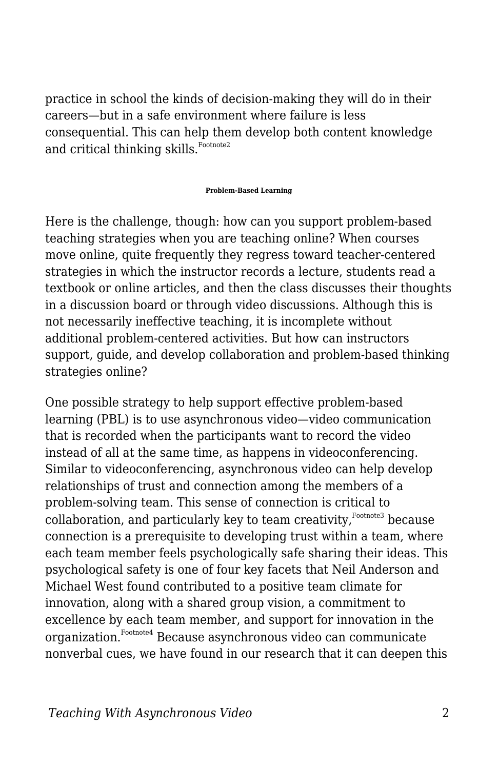practice in school the kinds of decision-making they will do in their careers—but in a safe environment where failure is less consequential. This can help them develop both content knowledge and critical thinking skills.<sup>Footnote2</sup>

#### **Problem-Based Learning**

Here is the challenge, though: how can you support problem-based teaching strategies when you are teaching online? When courses move online, quite frequently they regress toward teacher-centered strategies in which the instructor records a lecture, students read a textbook or online articles, and then the class discusses their thoughts in a discussion board or through video discussions. Although this is not necessarily ineffective teaching, it is incomplete without additional problem-centered activities. But how can instructors support, guide, and develop collaboration and problem-based thinking strategies online?

One possible strategy to help support effective problem-based learning (PBL) is to use asynchronous video—video communication that is recorded when the participants want to record the video instead of all at the same time, as happens in videoconferencing. Similar to videoconferencing, asynchronous video can help develop relationships of trust and connection among the members of a problem-solving team. This sense of connection is critical to collaboration, and particularly key to team creativity, Footnote3 because connection is a prerequisite to developing trust within a team, where each team member feels psychologically safe sharing their ideas. This psychological safety is one of four key facets that Neil Anderson and Michael West found contributed to a positive team climate for innovation, along with a shared group vision, a commitment to excellence by each team member, and support for innovation in the organization.Footnote4 Because asynchronous video can communicate nonverbal cues, we have found in our research that it can deepen this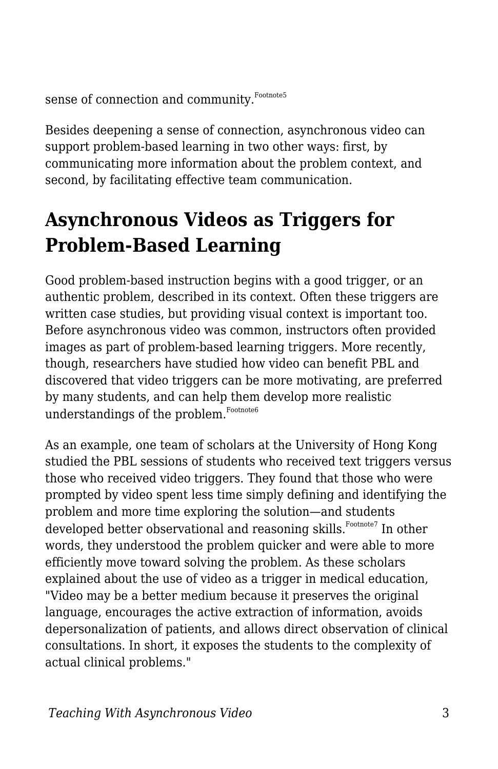sense of connection and community.<sup>Footnote5</sup>

Besides deepening a sense of connection, asynchronous video can support problem-based learning in two other ways: first, by communicating more information about the problem context, and second, by facilitating effective team communication.

### **Asynchronous Videos as Triggers for Problem-Based Learning**

Good problem-based instruction begins with a good trigger, or an authentic problem, described in its context. Often these triggers are written case studies, but providing visual context is important too. Before asynchronous video was common, instructors often provided images as part of problem-based learning triggers. More recently, though, researchers have studied how video can benefit PBL and discovered that video triggers can be more motivating, are preferred by many students, and can help them develop more realistic understandings of the problem. Footnote6

As an example, one team of scholars at the University of Hong Kong studied the PBL sessions of students who received text triggers versus those who received video triggers. They found that those who were prompted by video spent less time simply defining and identifying the problem and more time exploring the solution—and students developed better observational and reasoning skills. Footnote<sup>7</sup> In other words, they understood the problem quicker and were able to more efficiently move toward solving the problem. As these scholars explained about the use of video as a trigger in medical education, "Video may be a better medium because it preserves the original language, encourages the active extraction of information, avoids depersonalization of patients, and allows direct observation of clinical consultations. In short, it exposes the students to the complexity of actual clinical problems."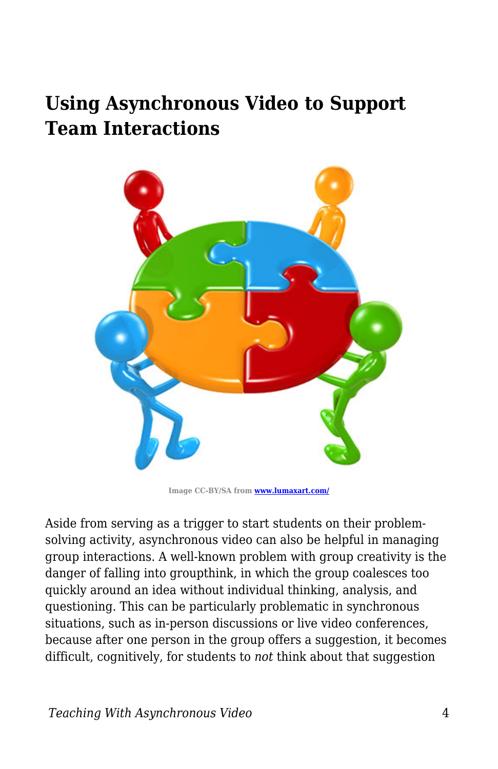#### **Using Asynchronous Video to Support Team Interactions**



**Image CC-BY/SA from [www.lumaxart.com/](http://www.lumaxart.com/)**

Aside from serving as a trigger to start students on their problemsolving activity, asynchronous video can also be helpful in managing group interactions. A well-known problem with group creativity is the danger of falling into groupthink, in which the group coalesces too quickly around an idea without individual thinking, analysis, and questioning. This can be particularly problematic in synchronous situations, such as in-person discussions or live video conferences, because after one person in the group offers a suggestion, it becomes difficult, cognitively, for students to *not* think about that suggestion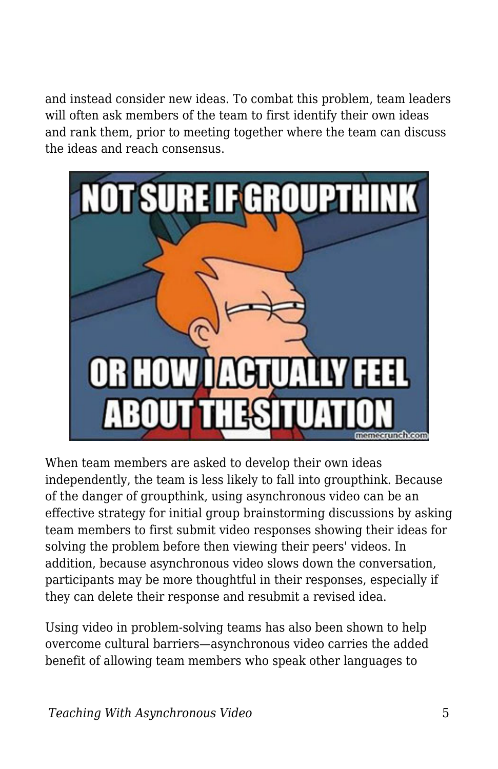and instead consider new ideas. To combat this problem, team leaders will often ask members of the team to first identify their own ideas and rank them, prior to meeting together where the team can discuss the ideas and reach consensus.



When team members are asked to develop their own ideas independently, the team is less likely to fall into groupthink. Because of the danger of groupthink, using asynchronous video can be an effective strategy for initial group brainstorming discussions by asking team members to first submit video responses showing their ideas for solving the problem before then viewing their peers' videos. In addition, because asynchronous video slows down the conversation, participants may be more thoughtful in their responses, especially if they can delete their response and resubmit a revised idea.

Using video in problem-solving teams has also been shown to help overcome cultural barriers—asynchronous video carries the added benefit of allowing team members who speak other languages to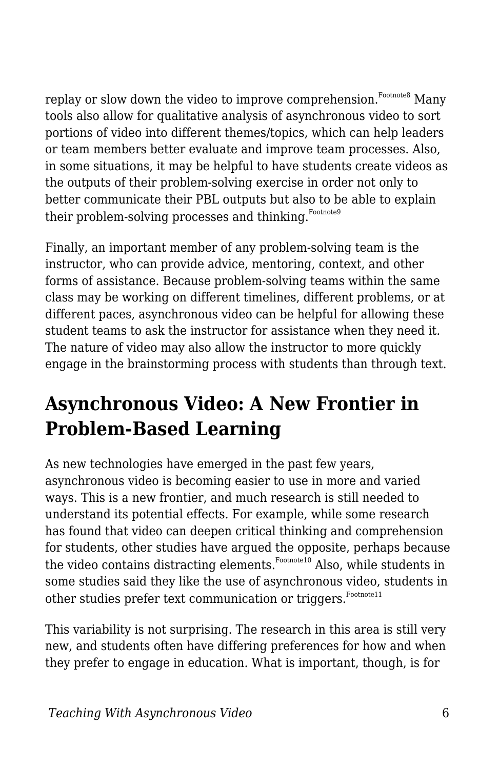replay or slow down the video to improve comprehension.<sup>Footnote8</sup> Many tools also allow for qualitative analysis of asynchronous video to sort portions of video into different themes/topics, which can help leaders or team members better evaluate and improve team processes. Also, in some situations, it may be helpful to have students create videos as the outputs of their problem-solving exercise in order not only to better communicate their PBL outputs but also to be able to explain their problem-solving processes and thinking. Footnote9

Finally, an important member of any problem-solving team is the instructor, who can provide advice, mentoring, context, and other forms of assistance. Because problem-solving teams within the same class may be working on different timelines, different problems, or at different paces, asynchronous video can be helpful for allowing these student teams to ask the instructor for assistance when they need it. The nature of video may also allow the instructor to more quickly engage in the brainstorming process with students than through text.

#### **Asynchronous Video: A New Frontier in Problem-Based Learning**

As new technologies have emerged in the past few years, asynchronous video is becoming easier to use in more and varied ways. This is a new frontier, and much research is still needed to understand its potential effects. For example, while some research has found that video can deepen critical thinking and comprehension for students, other studies have argued the opposite, perhaps because the video contains distracting elements.<sup>Footnote10</sup> Also, while students in some studies said they like the use of asynchronous video, students in other studies prefer text communication or triggers. Footnote11

This variability is not surprising. The research in this area is still very new, and students often have differing preferences for how and when they prefer to engage in education. What is important, though, is for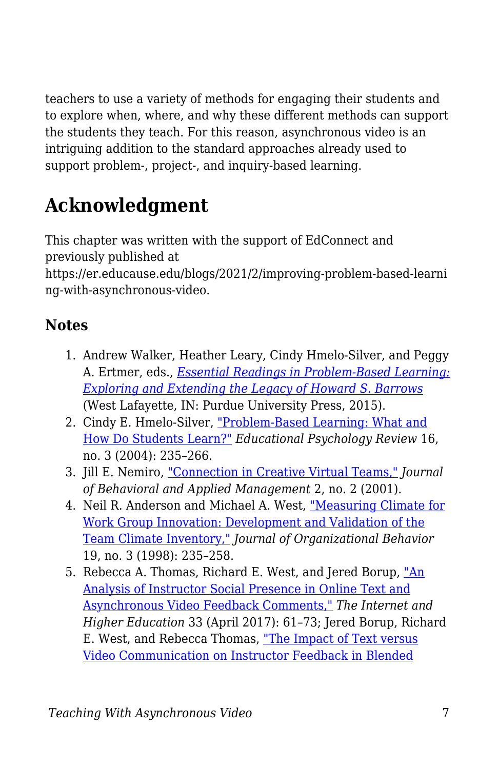teachers to use a variety of methods for engaging their students and to explore when, where, and why these different methods can support the students they teach. For this reason, asynchronous video is an intriguing addition to the standard approaches already used to support problem-, project-, and inquiry-based learning.

## **Acknowledgment**

This chapter was written with the support of EdConnect and previously published at https://er.educause.edu/blogs/2021/2/improving-problem-based-learni ng-with-asynchronous-video.

#### **Notes**

- 1. Andrew Walker, Heather Leary, Cindy Hmelo-Silver, and Peggy A. Ertmer, eds., *[Essential Readings in Problem-Based Learning:](http://www.thepress.purdue.edu/titles/format/9781612493688) [Exploring and Extending the Legacy of Howard S. Barrows](http://www.thepress.purdue.edu/titles/format/9781612493688)* (West Lafayette, IN: Purdue University Press, 2015).
- 2. Cindy E. Hmelo-Silver, ["Problem-Based Learning: What and](https://link.springer.com/article/10.1023/B:EDPR.0000034022.16470.f3) [How Do Students Learn?"](https://link.springer.com/article/10.1023/B:EDPR.0000034022.16470.f3) *Educational Psychology Review* 16, no. 3 (2004): 235–266.
- 3. Jill E. Nemiro, ["Connection in Creative Virtual Teams,"](https://jbam.scholasticahq.com/article/814) *Journal of Behavioral and Applied Management* 2, no. 2 (2001).
- 4. Neil R. Anderson and Michael A. West, ["Measuring Climate for](https://onlinelibrary.wiley.com/doi/abs/10.1002/(SICI)1099-1379(199805)19:3%3C235::AID-JOB837%3E3.0.CO;2-C) [Work Group Innovation: Development and Validation of the](https://onlinelibrary.wiley.com/doi/abs/10.1002/(SICI)1099-1379(199805)19:3%3C235::AID-JOB837%3E3.0.CO;2-C) [Team Climate Inventory,"](https://onlinelibrary.wiley.com/doi/abs/10.1002/(SICI)1099-1379(199805)19:3%3C235::AID-JOB837%3E3.0.CO;2-C) *Journal of Organizational Behavior* 19, no. 3 (1998): 235–258.
- 5. Rebecca A. Thomas, Richard E. West, and Jered Borup, ["An](https://www.sciencedirect.com/science/article/abs/pii/S1096751617300301) [Analysis of Instructor Social Presence in Online Text and](https://www.sciencedirect.com/science/article/abs/pii/S1096751617300301) [Asynchronous Video Feedback Comments,"](https://www.sciencedirect.com/science/article/abs/pii/S1096751617300301) *The Internet and Higher Education* 33 (April 2017): 61–73; Jered Borup, Richard E. West, and Rebecca Thomas, ["The Impact of Text versus](https://eric.ed.gov/?id=EJ1054719) [Video Communication on Instructor Feedback in Blended](https://eric.ed.gov/?id=EJ1054719)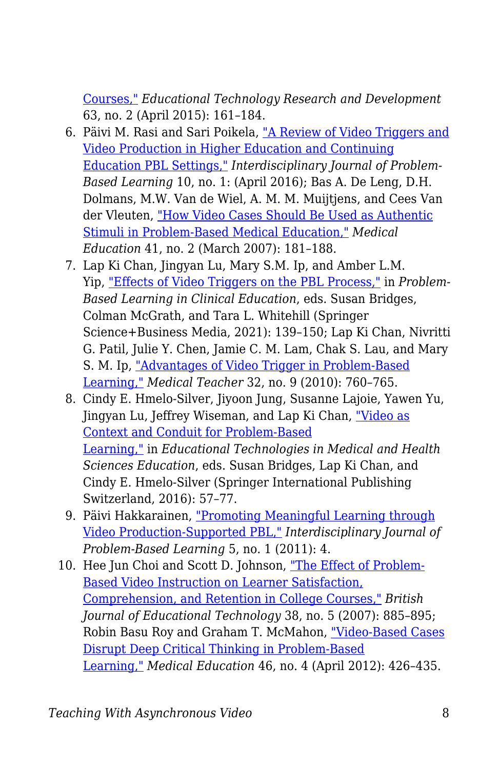[Courses,"](https://eric.ed.gov/?id=EJ1054719) *Educational Technology Research and Development* 63, no. 2 (April 2015): 161–184.

- 6. Päivi M. Rasi and Sari Poikela, ["A Review of Video Triggers and](https://eric.ed.gov/?id=EJ1101382) [Video Production in Higher Education and Continuing](https://eric.ed.gov/?id=EJ1101382) [Education PBL Settings,"](https://eric.ed.gov/?id=EJ1101382) *Interdisciplinary Journal of Problem-Based Learning* 10, no. 1: (April 2016); Bas A. De Leng, D.H. Dolmans, M.W. Van de Wiel, A. M. M. Muijtjens, and Cees Van der Vleuten, ["How Video Cases Should Be Used as Authentic](https://www.researchgate.net/publication/6534638_How_video_cases_should_be_used_as_authentic_stimuli_in_problem-based_medical_education) [Stimuli in Problem‐Based Medical Education,"](https://www.researchgate.net/publication/6534638_How_video_cases_should_be_used_as_authentic_stimuli_in_problem-based_medical_education) *Medical Education* 41, no. 2 (March 2007): 181–188.
- 7. Lap Ki Chan, Jingyan Lu, Mary S.M. Ip, and Amber L.M. Yip, ["Effects of Video Triggers on the PBL Process,"](https://link.springer.com/chapter/10.1007/978-94-007-2515-7_9) in *Problem-Based Learning in Clinical Education*, eds. Susan Bridges, Colman McGrath, and Tara L. Whitehill (Springer Science+Business Media, 2021): 139–150; Lap Ki Chan, Nivritti G. Patil, Julie Y. Chen, Jamie C. M. Lam, Chak S. Lau, and Mary S. M. Ip, ["Advantages of Video Trigger in Problem-Based](https://www.researchgate.net/publication/46008080_Advantages_of_video_trigger_in_problem-based_learning) [Learning,"](https://www.researchgate.net/publication/46008080_Advantages_of_video_trigger_in_problem-based_learning) *Medical Teacher* 32, no. 9 (2010): 760–765.
- 8. Cindy E. Hmelo-Silver, Jiyoon Jung, Susanne Lajoie, Yawen Yu, Jingyan Lu, Jeffrey Wiseman, and Lap Ki Chan, ["Video as](https://link.springer.com/chapter/10.1007/978-3-319-08275-2_4) [Context and Conduit for Problem-Based](https://link.springer.com/chapter/10.1007/978-3-319-08275-2_4) [Learning,"](https://link.springer.com/chapter/10.1007/978-3-319-08275-2_4) in *Educational Technologies in Medical and Health Sciences Education*, eds. Susan Bridges, Lap Ki Chan, and Cindy E. Hmelo-Silver (Springer International Publishing Switzerland, 2016): 57–77.
- 9. Päivi Hakkarainen, ["Promoting Meaningful Learning through](https://eric.ed.gov/?id=EJ1058716) [Video Production-Supported PBL,"](https://eric.ed.gov/?id=EJ1058716) *Interdisciplinary Journal of Problem-Based Learning* 5, no. 1 (2011): 4.
- 10. Hee Jun Choi and Scott D. Johnson, ["The Effect of Problem-](https://eric.ed.gov/?id=EJ773079)[Based Video Instruction on Learner Satisfaction,](https://eric.ed.gov/?id=EJ773079) [Comprehension, and Retention in College Courses,"](https://eric.ed.gov/?id=EJ773079) *British Journal of Educational Technology* 38, no. 5 (2007): 885–895; Robin Basu Roy and Graham T. McMahon, ["Video‐Based Cases](https://www.researchgate.net/publication/221721864_Video-based_cases_disrupt_deep_critical_thinking_in_problem-based_learning) [Disrupt Deep Critical Thinking in Problem‐Based](https://www.researchgate.net/publication/221721864_Video-based_cases_disrupt_deep_critical_thinking_in_problem-based_learning) [Learning,"](https://www.researchgate.net/publication/221721864_Video-based_cases_disrupt_deep_critical_thinking_in_problem-based_learning) *Medical Education* 46, no. 4 (April 2012): 426–435.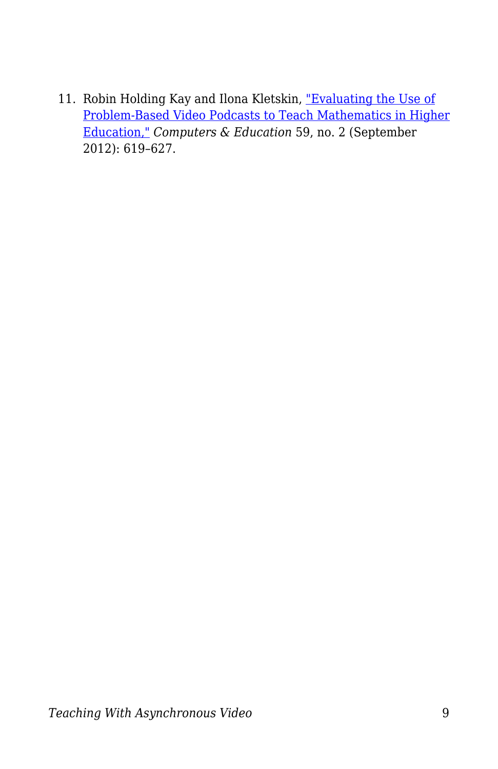11. Robin Holding Kay and Ilona Kletskin, ["Evaluating the Use of](https://www.researchgate.net/publication/235676133_Evaluating_the_Use_of_Problem-Based_Video_Podcasts_to_Teach_Mathematics_in_Higher_Education) [Problem-Based Video Podcasts to Teach Mathematics in Higher](https://www.researchgate.net/publication/235676133_Evaluating_the_Use_of_Problem-Based_Video_Podcasts_to_Teach_Mathematics_in_Higher_Education) [Education,"](https://www.researchgate.net/publication/235676133_Evaluating_the_Use_of_Problem-Based_Video_Podcasts_to_Teach_Mathematics_in_Higher_Education) *Computers & Education* 59, no. 2 (September 2012): 619–627.